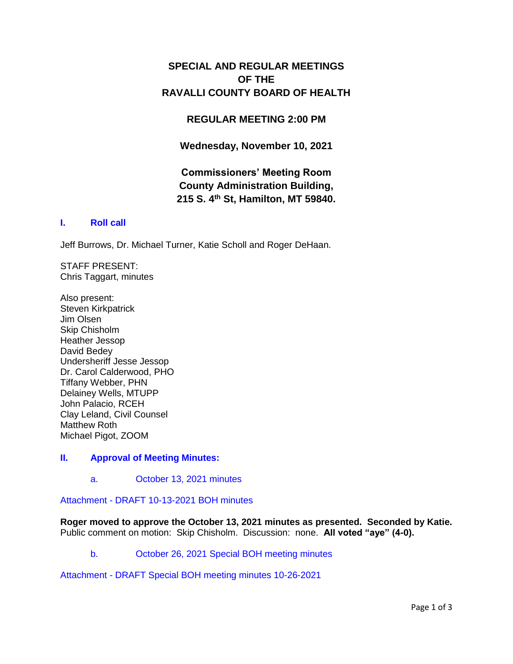## **SPECIAL AND REGULAR MEETINGS OF THE RAVALLI COUNTY BOARD OF HEALTH**

## **REGULAR MEETING 2:00 PM**

**Wednesday, November 10, 2021**

# **Commissioners' Meeting Room County Administration Building, 215 S. 4th St, Hamilton, MT 59840.**

## **I. [Roll call](http://ravalli-mt.granicus.com/wordlinkreceiver.php?clip_id=6157e647-2762-4dc9-a84d-7a71311b610b&meta_id=ba5d0084-587f-4429-9171-8f50e2c9164a&time=9)**

Jeff Burrows, Dr. Michael Turner, Katie Scholl and Roger DeHaan.

STAFF PRESENT: Chris Taggart, minutes

Also present: Steven Kirkpatrick Jim Olsen Skip Chisholm Heather Jessop David Bedey Undersheriff Jesse Jessop Dr. Carol Calderwood, PHO Tiffany Webber, PHN Delainey Wells, MTUPP John Palacio, RCEH Clay Leland, Civil Counsel Matthew Roth Michael Pigot, ZOOM

#### **II. [Approval of Meeting Minutes:](http://ravalli-mt.granicus.com/wordlinkreceiver.php?clip_id=6157e647-2762-4dc9-a84d-7a71311b610b&meta_id=35adac2e-576b-43af-8f68-3da05d238a30&time=17)**

a. [October 13, 2021 minutes](http://ravalli-mt.granicus.com/wordlinkreceiver.php?clip_id=6157e647-2762-4dc9-a84d-7a71311b610b&meta_id=4b7b3a3e-e3e4-4b1e-b4b5-a58f858285f4&time=28)

Attachment - [DRAFT 10-13-2021 BOH minutes](http://ravalli-mt.granicus.com/DocumentViewer.php?file=ravalli-mt_16768b226d64adb915e01e17446455aa.pdf)

**Roger moved to approve the October 13, 2021 minutes as presented. Seconded by Katie.**  Public comment on motion: Skip Chisholm. Discussion: none. **All voted "aye" (4-0).**

b. [October 26, 2021 Special BOH meeting minutes](http://ravalli-mt.granicus.com/wordlinkreceiver.php?clip_id=6157e647-2762-4dc9-a84d-7a71311b610b&meta_id=3dc54db4-f4d2-4bbc-b3bf-f5eee9a4267a&time=119)

Attachment - [DRAFT Special BOH meeting minutes 10-26-2021](http://ravalli-mt.granicus.com/DocumentViewer.php?file=ravalli-mt_9433761cfad501ae74d837c44fa16ce8.pdf)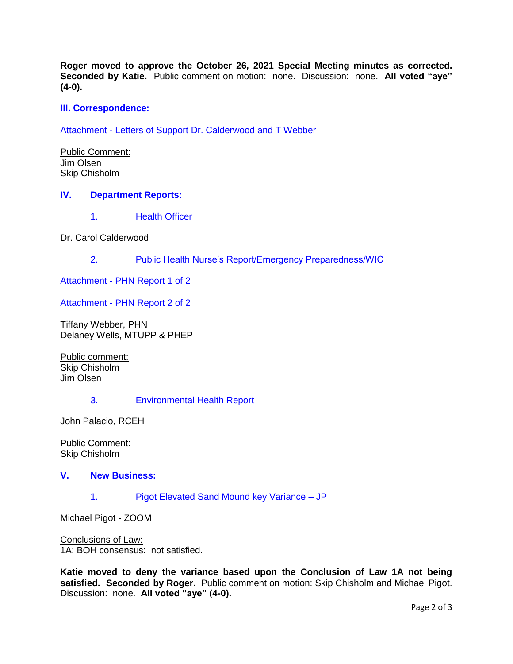**Roger moved to approve the October 26, 2021 Special Meeting minutes as corrected. Seconded by Katie.** Public comment on motion: none. Discussion: none. **All voted "aye" (4-0).**

## **[III. Correspondence:](http://ravalli-mt.granicus.com/wordlinkreceiver.php?clip_id=6157e647-2762-4dc9-a84d-7a71311b610b&meta_id=03ba4068-f73b-4a6b-9e74-086c913d6980&time=472)**

Attachment - [Letters of Support Dr. Calderwood and T Webber](http://ravalli-mt.granicus.com/DocumentViewer.php?file=ravalli-mt_ed15d9e7929b9506127cf8cd46750e43.pdf)

Public Comment: Jim Olsen Skip Chisholm

#### **IV. [Department Reports:](http://ravalli-mt.granicus.com/wordlinkreceiver.php?clip_id=6157e647-2762-4dc9-a84d-7a71311b610b&meta_id=0d0184e8-6f60-42fc-a44a-dd562f7c9258&time=833)**

1. [Health Officer](http://ravalli-mt.granicus.com/wordlinkreceiver.php?clip_id=6157e647-2762-4dc9-a84d-7a71311b610b&meta_id=1a567af4-e7e1-479b-b465-4ad9b926954f&time=835)

Dr. Carol Calderwood

2. [Public Health Nurse's Report/Emergency Preparedness/WIC](http://ravalli-mt.granicus.com/wordlinkreceiver.php?clip_id=6157e647-2762-4dc9-a84d-7a71311b610b&meta_id=3b6bc337-ab96-4e1a-99d3-3907f364060e&time=990)

Attachment - [PHN Report 1 of 2](http://ravalli-mt.granicus.com/DocumentViewer.php?file=ravalli-mt_5b1359eb8d2e0a725d1f5eeca63af21f.pdf)

Attachment - [PHN Report 2 of 2](http://ravalli-mt.granicus.com/DocumentViewer.php?file=ravalli-mt_78978f7af9fcf3705cf0e2636f6a06f1.pdf)

Tiffany Webber, PHN Delaney Wells, MTUPP & PHEP

Public comment: Skip Chisholm Jim Olsen

#### 3. [Environmental Health Report](http://ravalli-mt.granicus.com/wordlinkreceiver.php?clip_id=6157e647-2762-4dc9-a84d-7a71311b610b&meta_id=36577f7d-46ff-4a68-9801-0a41463c8dca&time=1801)

John Palacio, RCEH

Public Comment: Skip Chisholm

## **V. [New Business:](http://ravalli-mt.granicus.com/wordlinkreceiver.php?clip_id=6157e647-2762-4dc9-a84d-7a71311b610b&meta_id=dc6db4c7-7391-4517-aa83-74e4d3ba0ab1&time=2615)**

1. [Pigot Elevated Sand Mound key Variance –](http://ravalli-mt.granicus.com/wordlinkreceiver.php?clip_id=6157e647-2762-4dc9-a84d-7a71311b610b&meta_id=4b0cecfb-7169-4df6-b6f6-ee9d9522c828&time=2616) JP

Michael Pigot - ZOOM

Conclusions of Law: 1A: BOH consensus: not satisfied.

**Katie moved to deny the variance based upon the Conclusion of Law 1A not being satisfied. Seconded by Roger.** Public comment on motion: Skip Chisholm and Michael Pigot. Discussion: none. **All voted "aye" (4-0).**